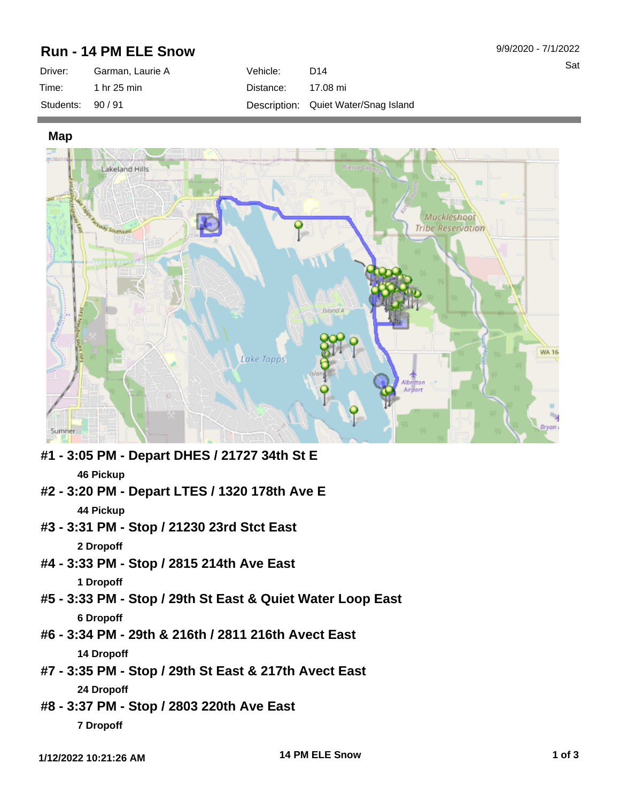## **Run - 14 PM ELE Snow**

| Driver:         | Garman, Laurie A | Vehicle:  | D <sub>14</sub>                      |
|-----------------|------------------|-----------|--------------------------------------|
| Time:           | 1 hr 25 min      | Distance: | 17.08 mi                             |
| Students: 90/91 |                  |           | Description: Quiet Water/Snag Island |

**Map**



- **#1 3:05 PM Depart DHES / 21727 34th St E 46 Pickup**
- **#2 3:20 PM Depart LTES / 1320 178th Ave E 44 Pickup**
- **#3 3:31 PM Stop / 21230 23rd Stct East 2 Dropoff**
- **#4 3:33 PM Stop / 2815 214th Ave East 1 Dropoff**
- **#5 3:33 PM Stop / 29th St East & Quiet Water Loop East 6 Dropoff**
- **#6 3:34 PM 29th & 216th / 2811 216th Avect East 14 Dropoff**
- **#7 3:35 PM Stop / 29th St East & 217th Avect East 24 Dropoff**
- **#8 3:37 PM Stop / 2803 220th Ave East 7 Dropoff**